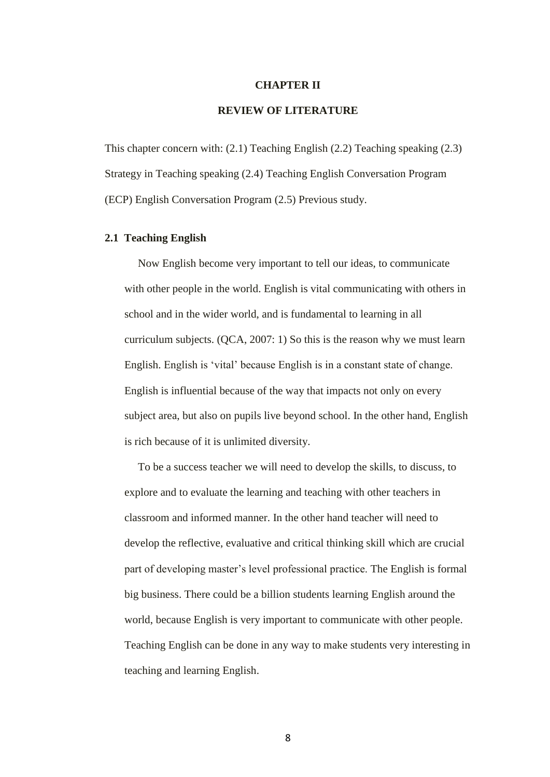#### **CHAPTER II**

# **REVIEW OF LITERATURE**

This chapter concern with: (2.1) Teaching English (2.2) Teaching speaking (2.3) Strategy in Teaching speaking (2.4) Teaching English Conversation Program (ECP) English Conversation Program (2.5) Previous study.

# **2.1 Teaching English**

Now English become very important to tell our ideas, to communicate with other people in the world. English is vital communicating with others in school and in the wider world, and is fundamental to learning in all curriculum subjects. (QCA, 2007: 1) So this is the reason why we must learn English. English is "vital" because English is in a constant state of change. English is influential because of the way that impacts not only on every subject area, but also on pupils live beyond school. In the other hand, English is rich because of it is unlimited diversity.

To be a success teacher we will need to develop the skills, to discuss, to explore and to evaluate the learning and teaching with other teachers in classroom and informed manner. In the other hand teacher will need to develop the reflective, evaluative and critical thinking skill which are crucial part of developing master"s level professional practice. The English is formal big business. There could be a billion students learning English around the world, because English is very important to communicate with other people. Teaching English can be done in any way to make students very interesting in teaching and learning English.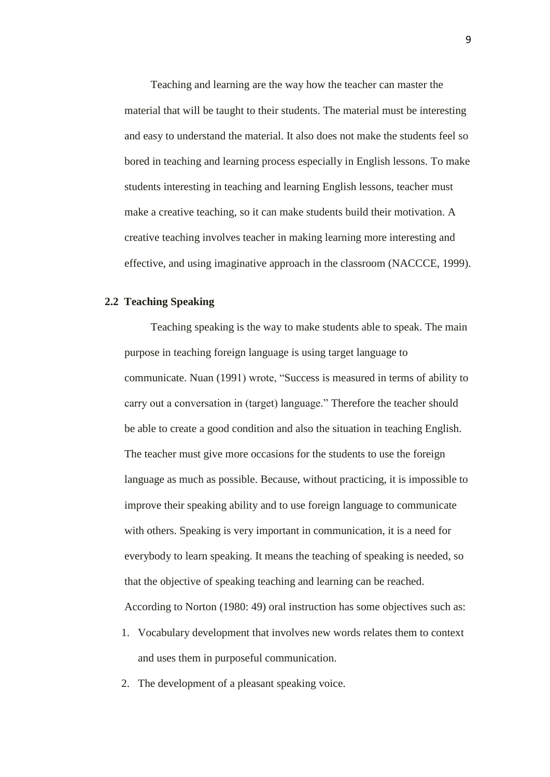Teaching and learning are the way how the teacher can master the material that will be taught to their students. The material must be interesting and easy to understand the material. It also does not make the students feel so bored in teaching and learning process especially in English lessons. To make students interesting in teaching and learning English lessons, teacher must make a creative teaching, so it can make students build their motivation. A creative teaching involves teacher in making learning more interesting and effective, and using imaginative approach in the classroom (NACCCE, 1999).

## **2.2 Teaching Speaking**

Teaching speaking is the way to make students able to speak. The main purpose in teaching foreign language is using target language to communicate. Nuan (1991) wrote, "Success is measured in terms of ability to carry out a conversation in (target) language." Therefore the teacher should be able to create a good condition and also the situation in teaching English. The teacher must give more occasions for the students to use the foreign language as much as possible. Because, without practicing, it is impossible to improve their speaking ability and to use foreign language to communicate with others. Speaking is very important in communication, it is a need for everybody to learn speaking. It means the teaching of speaking is needed, so that the objective of speaking teaching and learning can be reached. According to Norton (1980: 49) oral instruction has some objectives such as:

- 1. Vocabulary development that involves new words relates them to context and uses them in purposeful communication.
- 2. The development of a pleasant speaking voice.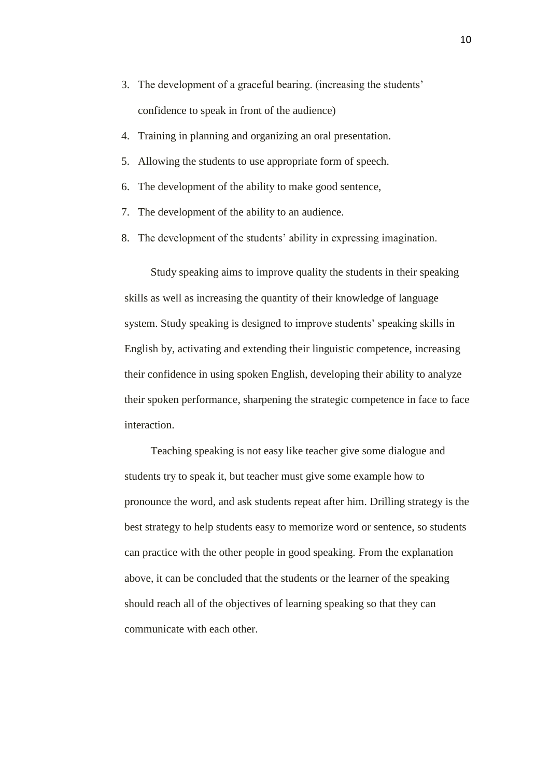- 3. The development of a graceful bearing. (increasing the students" confidence to speak in front of the audience)
- 4. Training in planning and organizing an oral presentation.
- 5. Allowing the students to use appropriate form of speech.
- 6. The development of the ability to make good sentence,
- 7. The development of the ability to an audience.
- 8. The development of the students" ability in expressing imagination.

Study speaking aims to improve quality the students in their speaking skills as well as increasing the quantity of their knowledge of language system. Study speaking is designed to improve students' speaking skills in English by, activating and extending their linguistic competence, increasing their confidence in using spoken English, developing their ability to analyze their spoken performance, sharpening the strategic competence in face to face interaction.

Teaching speaking is not easy like teacher give some dialogue and students try to speak it, but teacher must give some example how to pronounce the word, and ask students repeat after him. Drilling strategy is the best strategy to help students easy to memorize word or sentence, so students can practice with the other people in good speaking. From the explanation above, it can be concluded that the students or the learner of the speaking should reach all of the objectives of learning speaking so that they can communicate with each other.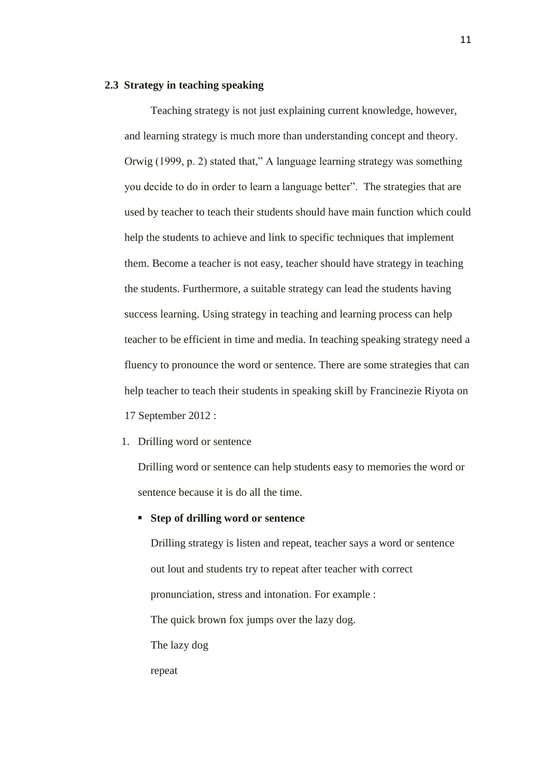#### **2.3 Strategy in teaching speaking**

Teaching strategy is not just explaining current knowledge, however, and learning strategy is much more than understanding concept and theory. Orwig (1999, p. 2) stated that," A language learning strategy was something you decide to do in order to learn a language better". The strategies that are used by teacher to teach their students should have main function which could help the students to achieve and link to specific techniques that implement them. Become a teacher is not easy, teacher should have strategy in teaching the students. Furthermore, a suitable strategy can lead the students having success learning. Using strategy in teaching and learning process can help teacher to be efficient in time and media. In teaching speaking strategy need a fluency to pronounce the word or sentence. There are some strategies that can help teacher to teach their students in speaking skill by [Francinezie Riyota](http://prezi.com/user/9nvef2lcymrr/) on 17 September 2012 :

1. Drilling word or sentence

Drilling word or sentence can help students easy to memories the word or sentence because it is do all the time.

### **Step of drilling word or sentence**

Drilling strategy is listen and repeat, teacher says a word or sentence out lout and students try to repeat after teacher with correct pronunciation, stress and intonation. For example : The quick brown fox jumps over the lazy dog. The lazy dog repeat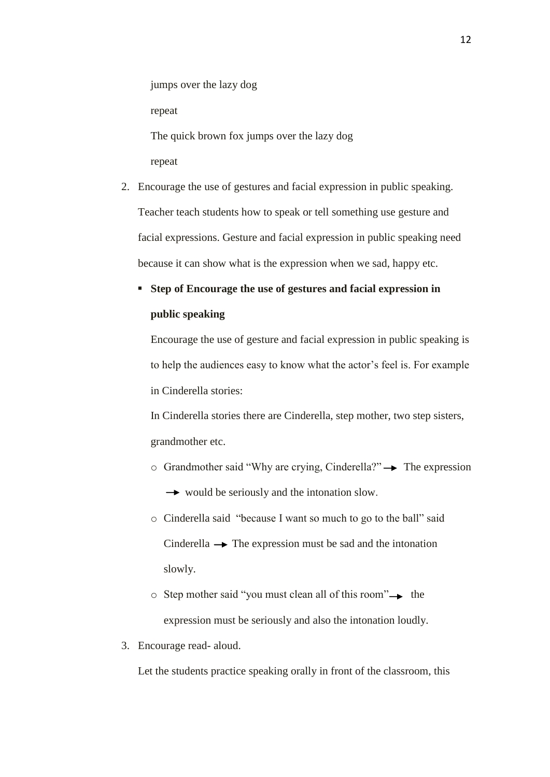jumps over the lazy dog

repeat

The quick brown fox jumps over the lazy dog repeat

2. Encourage the use of gestures and facial expression in public speaking. Teacher teach students how to speak or tell something use gesture and facial expressions. Gesture and facial expression in public speaking need because it can show what is the expression when we sad, happy etc.

# **Step of Encourage the use of gestures and facial expression in public speaking**

Encourage the use of gesture and facial expression in public speaking is to help the audiences easy to know what the actor"s feel is. For example in Cinderella stories:

In Cinderella stories there are Cinderella, step mother, two step sisters, grandmother etc.

- $\circ$  Grandmother said "Why are crying, Cinderella?" $\rightarrow$  The expression  $\rightarrow$  would be seriously and the intonation slow.
- o Cinderella said "because I want so much to go to the ball" said Cinderella  $\rightarrow$  The expression must be sad and the intonation slowly.
- $\circ$  Step mother said "you must clean all of this room" $\rightarrow$  the expression must be seriously and also the intonation loudly.
- 3. Encourage read- aloud.

Let the students practice speaking orally in front of the classroom, this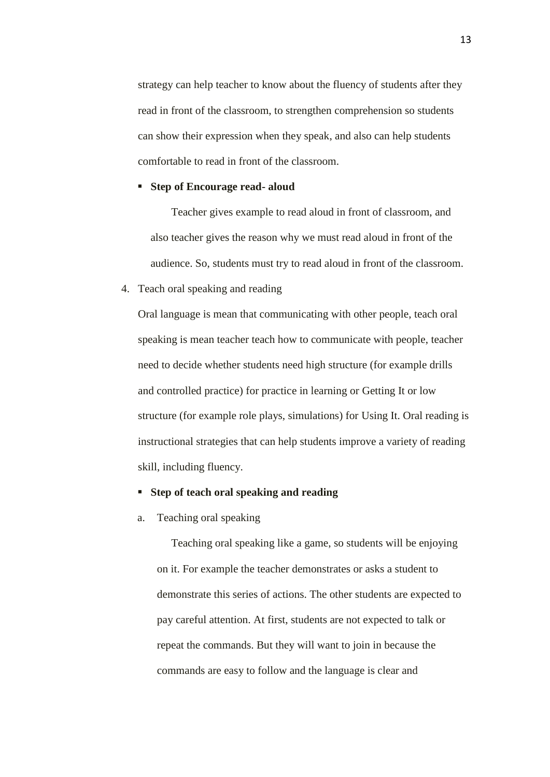strategy can help teacher to know about the fluency of students after they read in front of the classroom, to strengthen comprehension so students can show their expression when they speak, and also can help students comfortable to read in front of the classroom.

#### **Step of Encourage read- aloud**

Teacher gives example to read aloud in front of classroom, and also teacher gives the reason why we must read aloud in front of the audience. So, students must try to read aloud in front of the classroom.

### 4. Teach oral speaking and reading

Oral language is mean that communicating with other people, teach oral speaking is mean teacher teach how to communicate with people, teacher need to decide whether students need high structure (for example drills and controlled practice) for practice in learning or [Getting It](http://www.educ.ualberta.ca/staff/olenka.bilash/best%20of%20bilash/gettingit.html) or low structure (for example role plays, simulations) for [Using It.](http://www.educ.ualberta.ca/staff/olenka.bilash/best%20of%20bilash/usingit.html) Oral reading is instructional strategies that can help students improve a variety of reading skill, including fluency.

#### **Step of teach oral speaking and reading**

a. Teaching oral speaking

Teaching oral speaking like a game, so students will be enjoying on it. For example the teacher demonstrates or asks a student to demonstrate this series of actions. The other students are expected to pay careful attention. At first, students are not expected to talk or repeat the commands. But they will want to join in because the commands are easy to follow and the language is clear and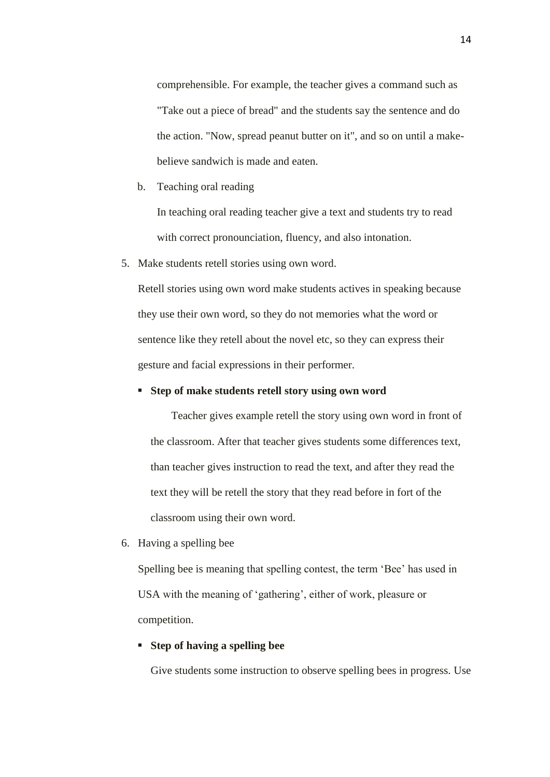comprehensible. For example, the teacher gives a command such as "Take out a piece of bread" and the students say the sentence and do the action. "Now, spread peanut butter on it", and so on until a makebelieve sandwich is made and eaten.

b. Teaching oral reading

In teaching oral reading teacher give a text and students try to read with correct pronounciation, fluency, and also intonation.

5. Make students retell stories using own word.

Retell stories using own word make students actives in speaking because they use their own word, so they do not memories what the word or sentence like they retell about the novel etc, so they can express their gesture and facial expressions in their performer.

## **Step of make students retell story using own word**

Teacher gives example retell the story using own word in front of the classroom. After that teacher gives students some differences text, than teacher gives instruction to read the text, and after they read the text they will be retell the story that they read before in fort of the classroom using their own word.

6. Having a spelling bee

Spelling bee is meaning that spelling contest, the term "Bee" has used in USA with the meaning of 'gathering', either of work, pleasure or competition.

## **Step of having a spelling bee**

Give students some instruction to observe spelling bees in progress. Use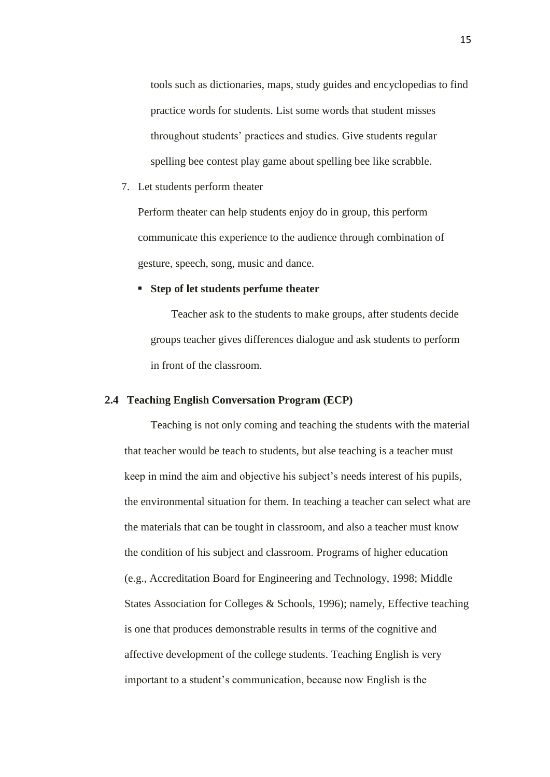tools such as dictionaries, maps, study guides and encyclopedias to find practice words for students. List some words that student misses throughout students" practices and studies. Give students regular spelling bee contest play game about spelling bee like scrabble.

7. Let students perform theater

Perform theater can help students enjoy do in group, this perform communicate this experience to the audience through combination of gesture, speech, song, music and dance.

# **Step of let students perfume theater**

Teacher ask to the students to make groups, after students decide groups teacher gives differences dialogue and ask students to perform in front of the classroom.

# **2.4 Teaching English Conversation Program (ECP)**

Teaching is not only coming and teaching the students with the material that teacher would be teach to students, but alse teaching is a teacher must keep in mind the aim and objective his subject"s needs interest of his pupils, the environmental situation for them. In teaching a teacher can select what are the materials that can be tought in classroom, and also a teacher must know the condition of his subject and classroom. Programs of higher education (e.g., Accreditation Board for Engineering and Technology, 1998; Middle States Association for Colleges & Schools, 1996); namely, Effective teaching is one that produces demonstrable results in terms of the cognitive and affective development of the college students. Teaching English is very important to a student"s communication, because now English is the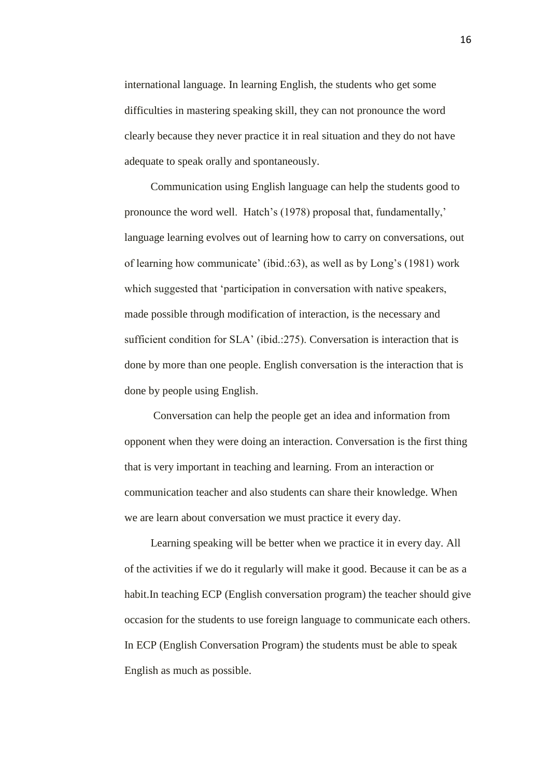international language. In learning English, the students who get some difficulties in mastering speaking skill, they can not pronounce the word clearly because they never practice it in real situation and they do not have adequate to speak orally and spontaneously.

Communication using English language can help the students good to pronounce the word well. Hatch's (1978) proposal that, fundamentally,' language learning evolves out of learning how to carry on conversations, out of learning how communicate" (ibid.:63), as well as by Long"s (1981) work which suggested that 'participation in conversation with native speakers, made possible through modification of interaction, is the necessary and sufficient condition for SLA' (ibid.:275). Conversation is interaction that is done by more than one people. English conversation is the interaction that is done by people using English.

Conversation can help the people get an idea and information from opponent when they were doing an interaction. Conversation is the first thing that is very important in teaching and learning. From an interaction or communication teacher and also students can share their knowledge. When we are learn about conversation we must practice it every day.

Learning speaking will be better when we practice it in every day. All of the activities if we do it regularly will make it good. Because it can be as a habit.In teaching ECP (English conversation program) the teacher should give occasion for the students to use foreign language to communicate each others. In ECP (English Conversation Program) the students must be able to speak English as much as possible.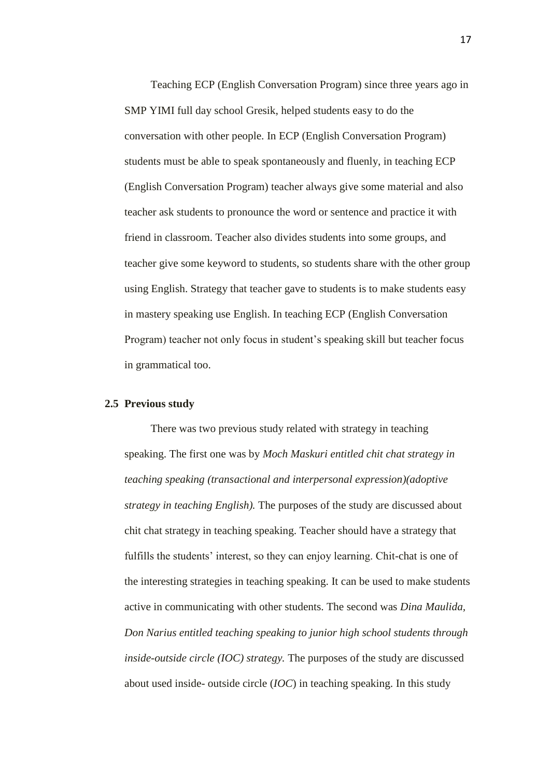Teaching ECP (English Conversation Program) since three years ago in SMP YIMI full day school Gresik, helped students easy to do the conversation with other people. In ECP (English Conversation Program) students must be able to speak spontaneously and fluenly, in teaching ECP (English Conversation Program) teacher always give some material and also teacher ask students to pronounce the word or sentence and practice it with friend in classroom. Teacher also divides students into some groups, and teacher give some keyword to students, so students share with the other group using English. Strategy that teacher gave to students is to make students easy in mastery speaking use English. In teaching ECP (English Conversation Program) teacher not only focus in student"s speaking skill but teacher focus in grammatical too.

#### **2.5 Previous study**

There was two previous study related with strategy in teaching speaking. The first one was by *Moch Maskuri entitled chit chat strategy in teaching speaking (transactional and interpersonal expression)(adoptive strategy in teaching English).* The purposes of the study are discussed about chit chat strategy in teaching speaking. Teacher should have a strategy that fulfills the students' interest, so they can enjoy learning. Chit-chat is one of the interesting strategies in teaching speaking. It can be used to make students active in communicating with other students. The second was *Dina Maulida, Don Narius entitled teaching speaking to junior high school students through inside-outside circle (IOC) strategy.* The purposes of the study are discussed about used inside- outside circle (*IOC*) in teaching speaking. In this study